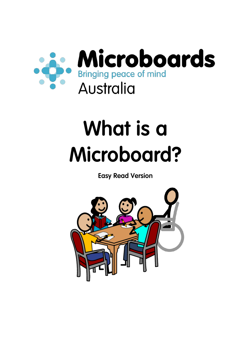

## **What is a Microboard?**

**Easy Read Version**

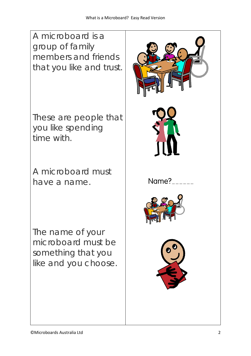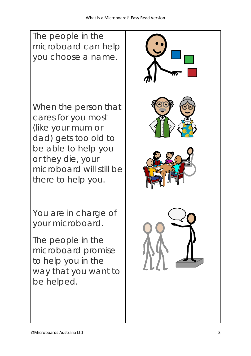The people in the microboard can help you choose a name. When the person that cares for you most (like your mum or dad) gets too old to be able to help you or they die, your microboard will still be there to help you. You are in charge of your microboard. The people in the microboard promise to help you in the way that you want to be helped.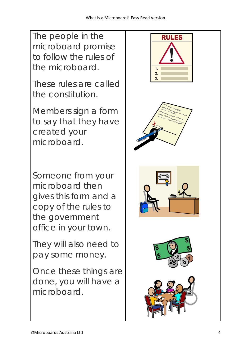The people in the microboard promise to follow the rules of the microboard.

These rules are called the constitution.

Members sign a form to say that they have created your microboard.

Someone from your microboard then gives this form and a copy of the rules to the government office in your town.

They will also need to pay some money.

Once these things are done, you will have a microboard.

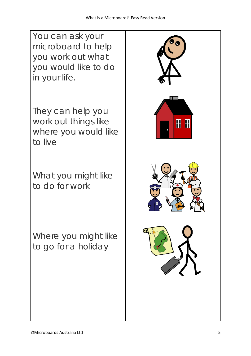You can ask your microboard to help you work out what you would like to do in your life.

They can help you work out things like where you would like to live

What you might like to do for work

Where you might like to go for a holiday